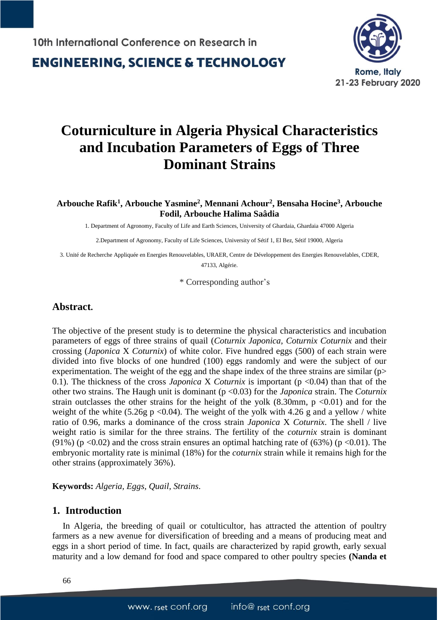

# **Coturniculture in Algeria Physical Characteristics and Incubation Parameters of Eggs of Three Dominant Strains**

**Arbouche Rafik<sup>1</sup> , Arbouche Yasmine<sup>2</sup> , Mennani Achour<sup>2</sup> , Bensaha Hocine<sup>3</sup> , Arbouche Fodil, Arbouche Halima Saâdia**

1. Department of Agronomy, Faculty of Life and Earth Sciences, University of Ghardaia, Ghardaia 47000 Algeria

2.Department of Agronomy, Faculty of Life Sciences, University of Sétif 1, El Bez, Sétif 19000, Algeria

3. Unité de Recherche Appliquée en Energies Renouvelables, URAER, Centre de Développement des Energies Renouvelables, CDER, 47133, Algérie.

\* Corresponding author's

#### **Abstract.**

The objective of the present study is to determine the physical characteristics and incubation parameters of eggs of three strains of quail (*Coturnix Japonica*, *Coturnix Coturnix* and their crossing (*Japonica* X *Coturnix*) of white color. Five hundred eggs (500) of each strain were divided into five blocks of one hundred (100) eggs randomly and were the subject of our experimentation. The weight of the egg and the shape index of the three strains are similar  $(p>$ 0.1). The thickness of the cross *Japonica* X *Coturnix* is important (p <0.04) than that of the other two strains. The Haugh unit is dominant (p <0.03) for the *Japonica* strain. The *Coturnix* strain outclasses the other strains for the height of the yolk  $(8.30 \text{mm}, p \lt 0.01)$  and for the weight of the white (5.26g p <0.04). The weight of the yolk with 4.26 g and a yellow / white ratio of 0.96, marks a dominance of the cross strain *Japonica* X *Coturnix*. The shell / live weight ratio is similar for the three strains. The fertility of the *coturnix* strain is dominant (91%) (p < 0.02) and the cross strain ensures an optimal hatching rate of (63%) (p < 0.01). The embryonic mortality rate is minimal (18%) for the *coturnix* strain while it remains high for the other strains (approximately 36%).

**Keywords:** *Algeria, Eggs, Quail, Strains*.

#### **1. Introduction**

In Algeria, the breeding of quail or cotulticultor, has attracted the attention of poultry farmers as a new avenue for diversification of breeding and a means of producing meat and eggs in a short period of time. In fact, quails are characterized by rapid growth, early sexual maturity and a low demand for food and space compared to other poultry species **(Nanda et**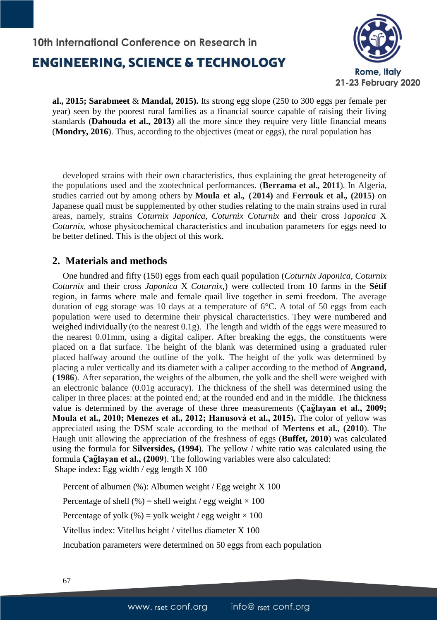# 10th International Conference on Research in **ENGINEERING, SCIENCE & TECHNOLOGY**



**al., 2015; Sarabmeet** & **Mandal, 2015).** Its strong egg slope (250 to 300 eggs per female per year) seen by the poorest rural families as a financial source capable of raising their living standards (**Dahouda et al., 2013**) all the more since they require very little financial means (**Mondry, 2016**). Thus, according to the objectives (meat or eggs), the rural population has

developed strains with their own characteristics, thus explaining the great heterogeneity of the populations used and the zootechnical performances. (**Berrama et al.***,* **2011**). In Algeria, studies carried out by among others by **Moula et al.***,* **(2014)** and **Ferrouk et al.***,* **(2015)** on Japanese quail must be supplemented by other studies relating to the main strains used in rural areas, namely, strains *Coturnix Japonica, Coturnix Coturnix* and their cross J*aponica* X *Coturnix,* whose physicochemical characteristics and incubation parameters for eggs need to be better defined. This is the object of this work.

### **2. Materials and methods**

One hundred and fifty (150) eggs from each quail population (*Coturnix Japonica, Coturnix Coturnix* and their cross *Japonica* X *Coturnix,*) were collected from 10 farms in the **Sétif**  region, in farms where male and female quail live together in semi freedom. The average duration of egg storage was 10 days at a temperature of 6°C. A total of 50 eggs from each population were used to determine their physical characteristics. They were numbered and weighed individually (to the nearest 0.1g). The length and width of the eggs were measured to the nearest 0.01mm, using a digital caliper. After breaking the eggs, the constituents were placed on a flat surface. The height of the blank was determined using a graduated ruler placed halfway around the outline of the yolk. The height of the yolk was determined by placing a ruler vertically and its diameter with a caliper according to the method of **Angrand, ( 1986**). After separation, the weights of the albumen, the yolk and the shell were weighed with an electronic balance (0.01g accuracy). The thickness of the shell was determined using the caliper in three places: at the pointed end; at the rounded end and in the middle. The thickness value is determined by the average of these three measurements (**Ç ağlayan et al., 2009; Moula et al., 2010; Menezes et al., 2012; Hanusová et al., 2015).** The color of yellow was appreciated using the DSM scale according to the method of **Mertens et al., (2010**). The Haugh unit allowing the appreciation of the freshness of eggs (**Buffet, 2010**) was calculated using the formula for **Silversides, (1994**). The yellow / white ratio was calculated using the formula **Ç ağlayan et al., (2009**). The following variables were also calculated: Shape index: Egg width / egg length X 100

Percent of albumen (%): Albumen weight / Egg weight X 100 Percentage of shell (%) = shell weight / egg weight  $\times$  100 Percentage of yolk (%) = yolk weight / egg weight  $\times$  100 Vitellus index: Vitellus height / vitellus diameter X 100 Incubation parameters were determined on 50 eggs from each population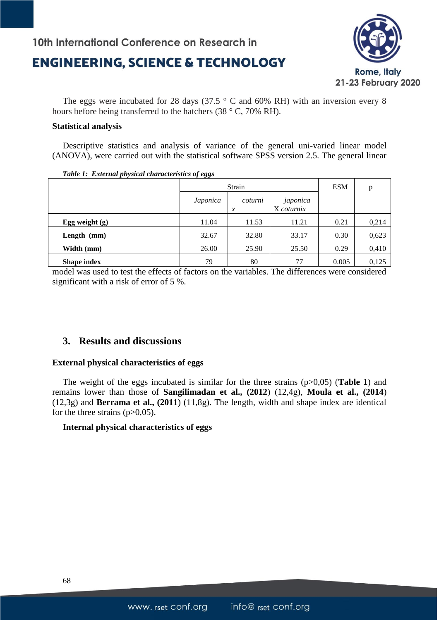## 10th International Conference on Research in

## **ENGINEERING, SCIENCE & TECHNOLOGY**



The eggs were incubated for 28 days (37.5  $\degree$  C and 60% RH) with an inversion every 8 hours before being transferred to the hatchers (38 ° C, 70% RH).

#### **Statistical analysis**

Descriptive statistics and analysis of variance of the general uni-varied linear model (ANOVA), were carried out with the statistical software SPSS version 2.5. The general linear

| Table 1: External physical characteristics of eggs |          |                             |                        |            |       |  |  |
|----------------------------------------------------|----------|-----------------------------|------------------------|------------|-------|--|--|
|                                                    | Strain   |                             |                        | <b>ESM</b> | p     |  |  |
|                                                    | Japonica | coturni<br>$\boldsymbol{x}$ | japonica<br>X coturnix |            |       |  |  |
| Egg weight $(g)$                                   | 11.04    | 11.53                       | 11.21                  | 0.21       | 0,214 |  |  |
| Length $(mm)$                                      | 32.67    | 32.80                       | 33.17                  | 0.30       | 0,623 |  |  |
| Width (mm)                                         | 26.00    | 25.90                       | 25.50                  | 0.29       | 0,410 |  |  |
| <b>Shape index</b>                                 | 79       | 80                          | 77                     | 0.005      | 0,125 |  |  |

model was used to test the effects of factors on the variables. The differences were considered

significant with a risk of error of 5 %.

### **3. Results and discussions**

#### **External physical characteristics of eggs**

The weight of the eggs incubated is similar for the three strains (p>0,05) (**Table 1**) and remains lower than those of **Sangilimadan et al., (2012**) (12,4g), **Moula et al., (2014**) (12,3g) and **Berrama et al., (2011**) (11,8g). The length, width and shape index are identical for the three strains  $(p>0,05)$ .

#### **Internal physical characteristics of eggs**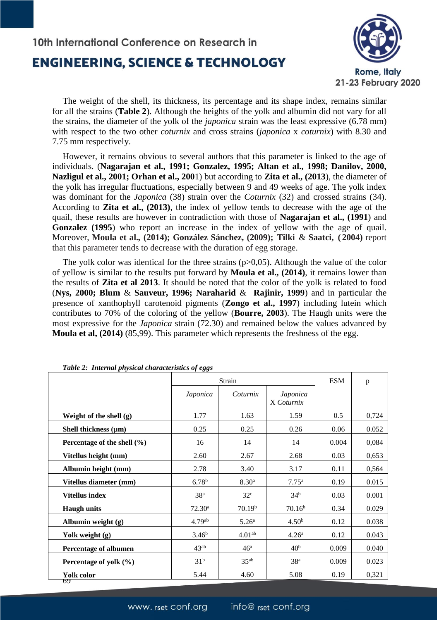# 10th International Conference on Research in **ENGINEERING, SCIENCE & TECHNOLOGY**



The weight of the shell, its thickness, its percentage and its shape index, remains similar for all the strains (**Table 2**). Although the heights of the yolk and albumin did not vary for all the strains, the diameter of the yolk of the *japonica* strain was the least expressive (6.78 mm) with respect to the two other *coturnix* and cross strains (*japonica* x *coturnix*) with 8.30 and 7.75 mm respectively.

However, it remains obvious to several authors that this parameter is linked to the age of individuals. (**Nagarajan et al., 1991; Gonzalez, 1995; Altan et al., 1998; Danilov, 2000, Nazligul et al., 2001; Orhan et al., 200**1) but according to **Zita et al., (2013**), the diameter of the yolk has irregular fluctuations, especially between 9 and 49 weeks of age. The yolk index was dominant for the *Japonica* (38) strain over the *Coturnix* (32) and crossed strains (34). According to **Zita et al., (2013)**, the index of yellow tends to decrease with the age of the quail, these results are however in contradiction with those of **Nagarajan et al., (1991**) and **Gonzalez (1995**) who report an increase in the index of yellow with the age of quail. Moreover, **Moula et al.***,* **(2014); González Sánchez, (2009); Tilki** & **Saatci, ( 2004)** report that this parameter tends to decrease with the duration of egg storage.

The yolk color was identical for the three strains  $(p>0,05)$ . Although the value of the color of yellow is similar to the results put forward by **Moula et al., (2014)**, it remains lower than the results of **Zita et al 2013**. It should be noted that the color of the yolk is related to food (**Nys, 2000; Blum** & **Sauveur, 1996; Naraharid** & **Rajinir, 1999**) and in particular the presence of xanthophyll carotenoid pigments (**Zongo et al., 1997**) including lutein which contributes to 70% of the coloring of the yellow (**Bourre, 2003**). The Haugh units were the most expressive for the *Japonica* strain (72.30) and remained below the values advanced by **Moula et al, (2014)** (85,99). This parameter which represents the freshness of the egg.

| Table 2: Internal physical characteristics of eggs |                    |                    |                        |            |       |  |  |
|----------------------------------------------------|--------------------|--------------------|------------------------|------------|-------|--|--|
|                                                    | Strain             |                    |                        | <b>ESM</b> | p     |  |  |
|                                                    | Japonica           | Coturnix           | Japonica<br>X Coturnix |            |       |  |  |
| Weight of the shell $(g)$                          | 1.77               | 1.63               | 1.59                   | 0.5        | 0,724 |  |  |
| Shell thickness $(\mu m)$                          | 0.25               | 0.25               | 0.26                   | 0.06       | 0.052 |  |  |
| Percentage of the shell $(\% )$                    | 16                 | 14                 | 14                     | 0.004      | 0,084 |  |  |
| Vitellus height (mm)                               | 2.60               | 2.67               | 2.68                   | 0.03       | 0,653 |  |  |
| Albumin height (mm)                                | 2.78               | 3.40               | 3.17                   | 0.11       | 0,564 |  |  |
| Vitellus diameter (mm)                             | 6.78 <sup>b</sup>  | 8.30 <sup>a</sup>  | 7.75 <sup>a</sup>      | 0.19       | 0.015 |  |  |
| <b>Vitellus index</b>                              | 38 <sup>a</sup>    | 32 <sup>c</sup>    | 34 <sup>b</sup>        | 0.03       | 0.001 |  |  |
| <b>Haugh units</b>                                 | 72.30 <sup>a</sup> | 70.19 <sup>b</sup> | 70.16 <sup>b</sup>     | 0.34       | 0.029 |  |  |
| Albumin weight (g)                                 | 4.79 <sup>ab</sup> | 5.26 <sup>a</sup>  | 4.50 <sup>b</sup>      | 0.12       | 0.038 |  |  |
| Yolk weight (g)                                    | 3.46 <sup>b</sup>  | 4.01 <sup>ab</sup> | 4.26 <sup>a</sup>      | 0.12       | 0.043 |  |  |
| <b>Percentage of albumen</b>                       | $43^{ab}$          | 46 <sup>a</sup>    | 40 <sup>b</sup>        | 0.009      | 0.040 |  |  |
| Percentage of yolk $(\% )$                         | 31 <sup>b</sup>    | $35^{ab}$          | 38 <sup>a</sup>        | 0.009      | 0.023 |  |  |
| Yolk color<br>69                                   | 5.44               | 4.60               | 5.08                   | 0.19       | 0,321 |  |  |

*Table 2: Internal physical characteristics of eggs*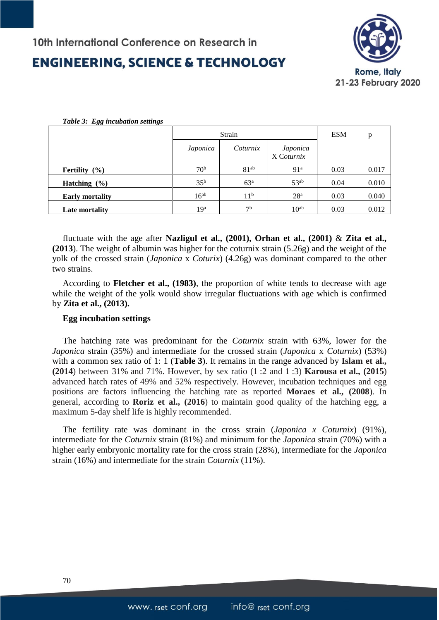# **ENGINEERING. SCIENCE & TECHNOLOGY**



| Table 3: Egg incubation settings |                 |                  |                        |            |       |
|----------------------------------|-----------------|------------------|------------------------|------------|-------|
|                                  | Strain          |                  |                        | <b>ESM</b> | p     |
|                                  | Japonica        | Coturnix         | Japonica<br>X Coturnix |            |       |
| <b>Fertility</b> $(\%)$          | 70 <sup>b</sup> | 81 <sup>ab</sup> | 91 <sup>a</sup>        | 0.03       | 0.017 |
| Hatching $(\% )$                 | 35 <sup>b</sup> | 63 <sup>a</sup>  | $53^{ab}$              | 0.04       | 0.010 |
| <b>Early mortality</b>           | $16^{ab}$       | 11 <sup>b</sup>  | 28 <sup>a</sup>        | 0.03       | 0.040 |
| Late mortality                   | 19 <sup>a</sup> | 7 <sup>b</sup>   | 10 <sup>ab</sup>       | 0.03       | 0.012 |

fluctuate with the age after **Nazligul et al., (2001), Orhan et al., (2001)** & **Zita et al., (2013**). The weight of albumin was higher for the coturnix strain (5.26g) and the weight of the yolk of the crossed strain (*Japonica* x *Coturix*) (4.26g) was dominant compared to the other two strains.

According to **Fletcher et al., (1983)**, the proportion of white tends to decrease with age while the weight of the yolk would show irregular fluctuations with age which is confirmed by **Zita et al., (2013).**

#### **Egg incubation settings**

The hatching rate was predominant for the *Coturnix* strain with 63%, lower for the *Japonica* strain (35%) and intermediate for the crossed strain (*Japonica* x *Coturnix*) (53%) with a common sex ratio of 1: 1 (**Table 3**). It remains in the range advanced by **Islam et al., (2014**) between 31% and 71%. However, by sex ratio (1 :2 and 1 :3) **Karousa et al., (2015**) advanced hatch rates of 49% and 52% respectively. However, incubation techniques and egg positions are factors influencing the hatching rate as reported **Moraes et al., (2008**). In general, according to **Roriz et al., (2016**) to maintain good quality of the hatching egg, a maximum 5-day shelf life is highly recommended.

The fertility rate was dominant in the cross strain (*Japonica x Coturnix*) (91%), intermediate for the *Coturnix* strain (81%) and minimum for the *Japonica* strain (70%) with a higher early embryonic mortality rate for the cross strain (28%), intermediate for the *Japonica* strain (16%) and intermediate for the strain *Coturnix* (11%).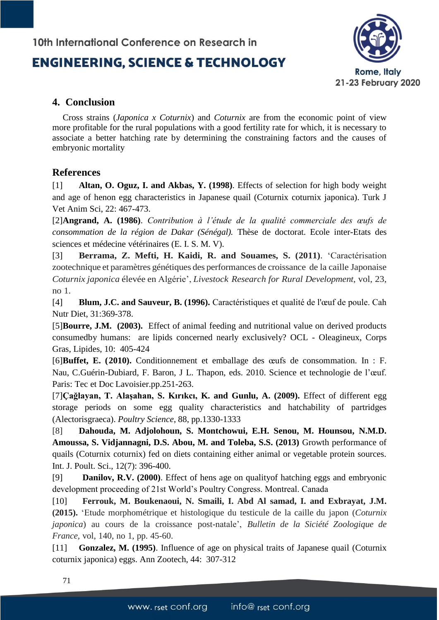### 10th International Conference on Research in

## **ENGINEERING. SCIENCE & TECHNOLOGY**



### **4. Conclusion**

Cross strains (*Japonica x Coturnix*) and *Coturnix* are from the economic point of view more profitable for the rural populations with a good fertility rate for which, it is necessary to associate a better hatching rate by determining the constraining factors and the causes of embryonic mortality

### **References**

[1] **Altan, O. Oguz, I. and Akbas, Y. (1998)**. Effects of selection for high body weight and age of henon egg characteristics in Japanese quail (Coturnix coturnix japonica). Turk J Vet Anim Sci, 22: 467-473.

[2]**Angrand, A. (1986)**. *Contribution à l'étude de la qualité commerciale des œufs de consommation de la région de Dakar (Sénégal).* Thèse de doctorat. Ecole inter-Etats des sciences et médecine vétérinaires (E. I. S. M. V).

[3] **Berrama, Z. Mefti, H. Kaidi, R. and Souames, S. (2011)**. 'Caractérisation zootechnique et paramètres génétiques des performances de croissance de la caille Japonaise *Coturnix japonica* élevée en Algérie', *Livestock Research for Rural Development*, vol, 23, no 1.

[4] **Blum, J.C. and Sauveur, B. (1996).** Caractéristiques et qualité de l'œuf de poule. Cah Nutr Diet, 31:369-378.

[5]**Bourre, J.M. (2003).** Effect of animal feeding and nutritional value on derived products consumedby humans: are lipids concerned nearly exclusively? OCL - Oleagineux, Corps Gras, Lipides, 10: 405-424

[6]**Buffet, E. (2010).** Conditionnement et emballage des œufs de consommation. In : F. Nau, C.Guérin-Dubiard, F. Baron, J L. Thapon, eds. 2010. Science et technologie de l'œuf. Paris: Tec et Doc Lavoisier.pp.251-263.

[7]**Çağlayan, T. Alaşahan, S. Kırıkcı, K. and Gunlu, A. (2009).** Effect of different egg storage periods on some egg quality characteristics and hatchability of partridges (Alectorisgraeca). *Poultry Science*, 88, pp.1330-1333

[8] **Dahouda, M. Adjolohoun, S. Montchowui, E.H. Senou, M. Hounsou, N.M.D. Amoussa, S. Vidjannagni, D.S. Abou, M. and Toleba, S.S. (2013)** Growth performance of quails (Coturnix coturnix) fed on diets containing either animal or vegetable protein sources. Int. J. Poult. Sci., 12(7): 396-400.

[9] **Danilov, R.V. (2000)**. Effect of hens age on qualityof hatching eggs and embryonic development proceeding of 21st World's Poultry Congress. Montreal. Canada

[10] **Ferrouk, M. Boukenaoui, N. Smaili, I. Abd Al samad, I. and Exbrayat, J.M. (2015).** 'Etude morphométrique et histologique du testicule de la caille du japon (*Coturnix japonica*) au cours de la croissance post-natale', *Bulletin de la Siciété Zoologique de France*, vol, 140, no 1, pp. 45-60.

[11] **Gonzalez, M. (1995)**. Influence of age on physical traits of Japanese quail (Coturnix coturnix japonica) eggs. Ann Zootech, 44: 307-312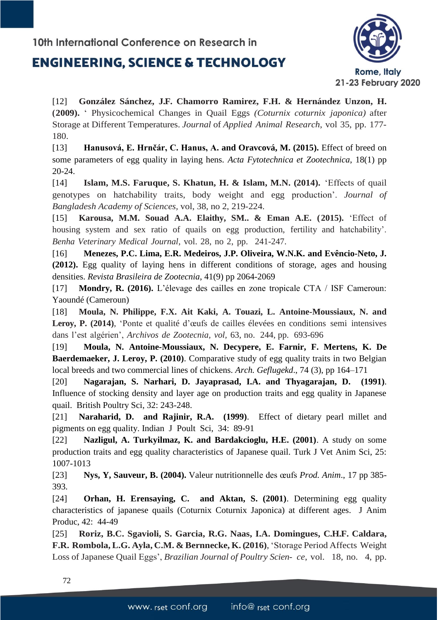# **ENGINEERING. SCIENCE & TECHNOLOGY**



[12] **González Sánchez, J.F. Chamorro Ramirez, F.H. & Hernández Unzon, H. (2009).** ' Physicochemical Changes in Quail Eggs *(Coturnix coturnix japonica)* after Storage at Different Temperatures. *Journal* of *Applied Animal Research*, vol 35, pp. 177- 180.

[13] **Hanusová, E. Hrnčár, C. Hanus, A. and Oravcová, M. (2015).** Effect of breed on some parameters of egg quality in laying hens. *Acta Fytotechnica et Zootechnica*, 18(1) pp 20-24.

[14] **Islam, M.S. Faruque, S. Khatun, H. & Islam, M.N. (2014).** 'Effects of quail genotypes on hatchability traits, body weight and egg production'. *Journal of Bangladesh Academy of Sciences,* vol, 38, no 2, 219-224.

[15] **Karousa, M.M. Souad A.A. Elaithy, SM.. & Eman A.E. (2015).** 'Effect of housing system and sex ratio of quails on egg production, fertility and hatchability'. *Benha Veterinary Medical Journal*, vol. 28, no 2, pp. 241-247.

[16] **Menezes, P.C. Lima, E.R. Medeiros, J.P. Oliveira, W.N.K. and Evêncio-Neto, J. (2012).** Egg quality of laying hens in different conditions of storage, ages and housing densities. *Revista Brasileira de Zootecnia*, 41(9) pp 2064-2069

[17] **Mondry, R. (2016).** L'élevage des cailles en zone tropicale CTA / ISF Cameroun: Yaoundé (Cameroun)

[18] **Moula, N. Philippe, F.X. Ait Kaki, A. Touazi, L. Antoine-Moussiaux, N. and Leroy, P. (2014)**, 'Ponte et qualité d'œufs de cailles élevées en conditions semi intensives dans l'est algérien', *Archivos de Zootecnia, vol,* 63, no. 244, pp. 693-696

[19] **Moula, N. Antoine-Moussiaux, N. Decypere, E. Farnir, F. Mertens, K. De Baerdemaeker, J. Leroy, P. (2010)**. Comparative study of egg quality traits in two Belgian local breeds and two commercial lines of chickens. *Arch. Geflugekd*., 74 (3), pp 164–171

[20] **Nagarajan, S. Narhari, D. Jayaprasad, I.A. and Thyagarajan, D. (1991)**. Influence of stocking density and layer age on production traits and egg quality in Japanese quail. British Poultry Sci, 32: 243-248.

[21] **Naraharid, D. and Rajinir, R.A. (1999)**. Effect of dietary pearl millet and pigments on egg quality. Indian J Poult Sci, 34: 89-91

[22] **Nazligul, A. Turkyilmaz, K. and Bardakcioglu, H.E. (2001)**. A study on some production traits and egg quality characteristics of Japanese quail. Turk J Vet Anim Sci, 25: 1007-1013

[23] **Nys, Y, Sauveur, B. (2004).** Valeur nutritionnelle des œufs *Prod. Anim*., 17 pp 385- 393.

[24] **Orhan, H. Erensaying, C. and Aktan, S. (2001)**. Determining egg quality characteristics of japanese quails (Coturnix Coturnix Japonica) at different ages. J Anim Produc, 42: 44-49

[25] **Roriz, B.C. Sgavioli, S. Garcia, R.G. Naas, I.A. Domingues, C.H.F. Caldara, F.R. Rombola, L.G. Ayla, C.M. & Bernnecke, K. (2016)**, 'Storage Period Affects Weight Loss of Japanese Quail Eggs', *Brazilian Journal of Poultry Scien- ce*, vol. 18, no. 4, pp.